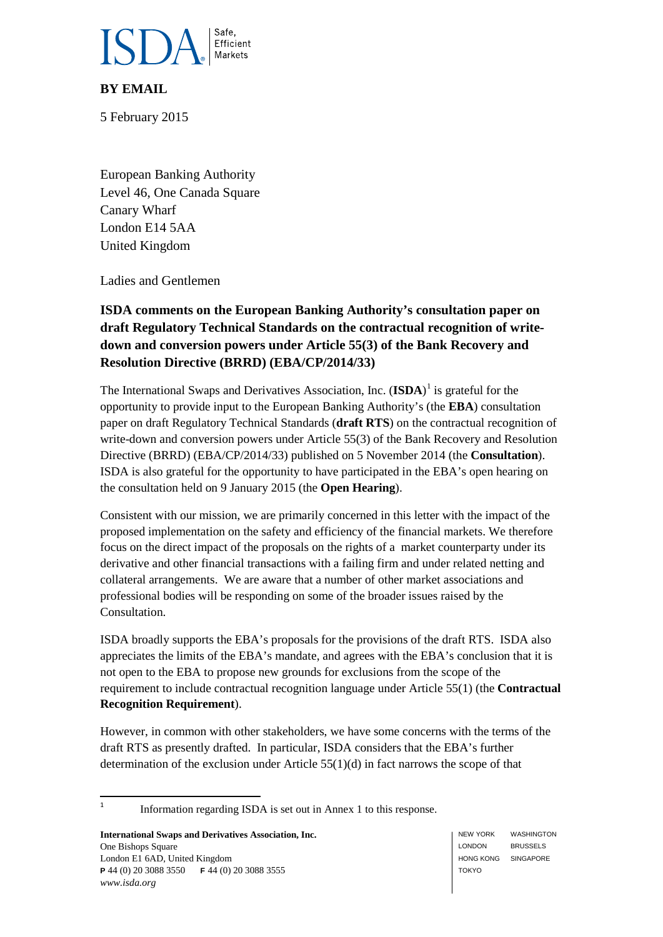

# **BY EMAIL**

5 February 2015

European Banking Authority Level 46, One Canada Square Canary Wharf London E14 5AA United Kingdom

Ladies and Gentlemen

# **ISDA comments on the European Banking Authority's consultation paper on draft Regulatory Technical Standards on the contractual recognition of writedown and conversion powers under Article 55(3) of the Bank Recovery and Resolution Directive (BRRD) (EBA/CP/2014/33)**

The International Swaps and Derivatives Association, Inc. (**ISDA**) [1](#page-0-0) is grateful for the opportunity to provide input to the European Banking Authority's (the **EBA**) consultation paper on draft Regulatory Technical Standards (**draft RTS**) on the contractual recognition of write-down and conversion powers under Article 55(3) of the Bank Recovery and Resolution Directive (BRRD) (EBA/CP/2014/33) published on 5 November 2014 (the **Consultation**). ISDA is also grateful for the opportunity to have participated in the EBA's open hearing on the consultation held on 9 January 2015 (the **Open Hearing**).

Consistent with our mission, we are primarily concerned in this letter with the impact of the proposed implementation on the safety and efficiency of the financial markets. We therefore focus on the direct impact of the proposals on the rights of a market counterparty under its derivative and other financial transactions with a failing firm and under related netting and collateral arrangements. We are aware that a number of other market associations and professional bodies will be responding on some of the broader issues raised by the Consultation.

ISDA broadly supports the EBA's proposals for the provisions of the draft RTS. ISDA also appreciates the limits of the EBA's mandate, and agrees with the EBA's conclusion that it is not open to the EBA to propose new grounds for exclusions from the scope of the requirement to include contractual recognition language under Article 55(1) (the **Contractual Recognition Requirement**).

However, in common with other stakeholders, we have some concerns with the terms of the draft RTS as presently drafted. In particular, ISDA considers that the EBA's further determination of the exclusion under Article 55(1)(d) in fact narrows the scope of that

<span id="page-0-0"></span><sup>1</sup> Information regarding ISDA is set out in Annex 1 to this response.

**International Swaps and Derivatives Association, Inc.** One Bishops Square London E1 6AD, United Kingdom **P** 44 (0) 20 3088 3550 **F** 44 (0) 20 3088 3555 *www.isda.org*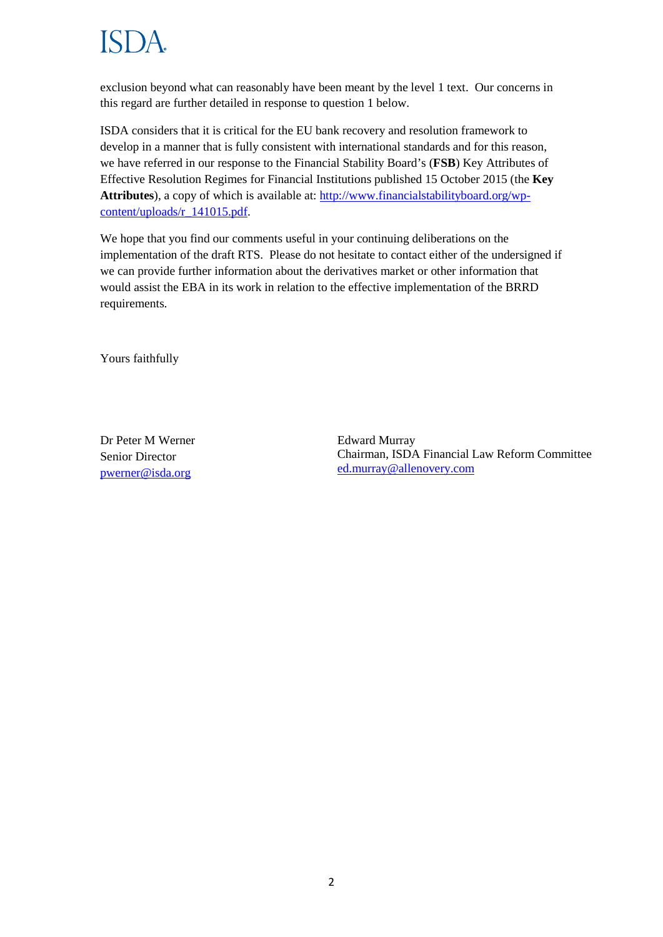exclusion beyond what can reasonably have been meant by the level 1 text. Our concerns in this regard are further detailed in response to question 1 below.

ISDA considers that it is critical for the EU bank recovery and resolution framework to develop in a manner that is fully consistent with international standards and for this reason, we have referred in our response to the Financial Stability Board's (**FSB**) Key Attributes of Effective Resolution Regimes for Financial Institutions published 15 October 2015 (the **Key Attributes**), a copy of which is available at: [http://www.financialstabilityboard.org/wp](http://www.financialstabilityboard.org/wp-content/uploads/r_141015.pdf)[content/uploads/r\\_141015.pdf.](http://www.financialstabilityboard.org/wp-content/uploads/r_141015.pdf)

We hope that you find our comments useful in your continuing deliberations on the implementation of the draft RTS. Please do not hesitate to contact either of the undersigned if we can provide further information about the derivatives market or other information that would assist the EBA in its work in relation to the effective implementation of the BRRD requirements.

Yours faithfully

Dr Peter M Werner Senior Director [pwerner@isda.org](mailto:pwerner@isda.org)

Edward Murray Chairman, ISDA Financial Law Reform Committee [ed.murray@allenovery.com](mailto:ed.murray@allenovery.com)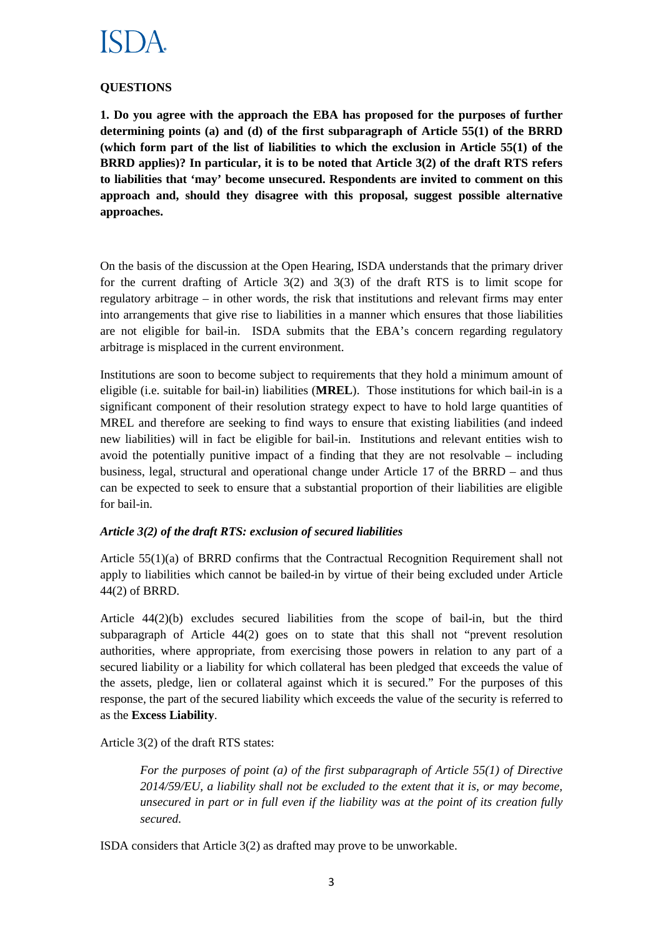# **QUESTIONS**

**1. Do you agree with the approach the EBA has proposed for the purposes of further determining points (a) and (d) of the first subparagraph of Article 55(1) of the BRRD (which form part of the list of liabilities to which the exclusion in Article 55(1) of the BRRD applies)? In particular, it is to be noted that Article 3(2) of the draft RTS refers to liabilities that 'may' become unsecured. Respondents are invited to comment on this approach and, should they disagree with this proposal, suggest possible alternative approaches.**

On the basis of the discussion at the Open Hearing, ISDA understands that the primary driver for the current drafting of Article 3(2) and 3(3) of the draft RTS is to limit scope for regulatory arbitrage – in other words, the risk that institutions and relevant firms may enter into arrangements that give rise to liabilities in a manner which ensures that those liabilities are not eligible for bail-in. ISDA submits that the EBA's concern regarding regulatory arbitrage is misplaced in the current environment.

Institutions are soon to become subject to requirements that they hold a minimum amount of eligible (i.e. suitable for bail-in) liabilities (**MREL**). Those institutions for which bail-in is a significant component of their resolution strategy expect to have to hold large quantities of MREL and therefore are seeking to find ways to ensure that existing liabilities (and indeed new liabilities) will in fact be eligible for bail-in. Institutions and relevant entities wish to avoid the potentially punitive impact of a finding that they are not resolvable – including business, legal, structural and operational change under Article 17 of the BRRD – and thus can be expected to seek to ensure that a substantial proportion of their liabilities are eligible for bail-in.

### *Article 3(2) of the draft RTS: exclusion of secured liabilities*

Article 55(1)(a) of BRRD confirms that the Contractual Recognition Requirement shall not apply to liabilities which cannot be bailed-in by virtue of their being excluded under Article 44(2) of BRRD.

Article 44(2)(b) excludes secured liabilities from the scope of bail-in, but the third subparagraph of Article 44(2) goes on to state that this shall not "prevent resolution authorities, where appropriate, from exercising those powers in relation to any part of a secured liability or a liability for which collateral has been pledged that exceeds the value of the assets, pledge, lien or collateral against which it is secured." For the purposes of this response, the part of the secured liability which exceeds the value of the security is referred to as the **Excess Liability**.

Article 3(2) of the draft RTS states:

*For the purposes of point (a) of the first subparagraph of Article 55(1) of Directive 2014/59/EU, a liability shall not be excluded to the extent that it is, or may become, unsecured in part or in full even if the liability was at the point of its creation fully secured.*

ISDA considers that Article 3(2) as drafted may prove to be unworkable.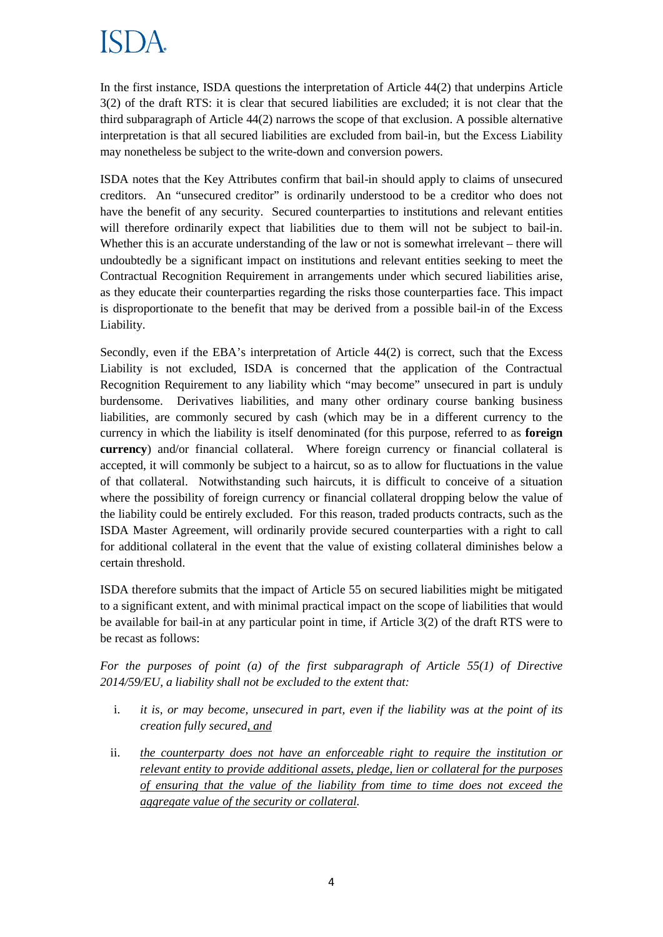In the first instance, ISDA questions the interpretation of Article 44(2) that underpins Article 3(2) of the draft RTS: it is clear that secured liabilities are excluded; it is not clear that the third subparagraph of Article 44(2) narrows the scope of that exclusion. A possible alternative interpretation is that all secured liabilities are excluded from bail-in, but the Excess Liability may nonetheless be subject to the write-down and conversion powers.

ISDA notes that the Key Attributes confirm that bail-in should apply to claims of unsecured creditors. An "unsecured creditor" is ordinarily understood to be a creditor who does not have the benefit of any security. Secured counterparties to institutions and relevant entities will therefore ordinarily expect that liabilities due to them will not be subject to bail-in. Whether this is an accurate understanding of the law or not is somewhat irrelevant – there will undoubtedly be a significant impact on institutions and relevant entities seeking to meet the Contractual Recognition Requirement in arrangements under which secured liabilities arise, as they educate their counterparties regarding the risks those counterparties face. This impact is disproportionate to the benefit that may be derived from a possible bail-in of the Excess Liability.

Secondly, even if the EBA's interpretation of Article 44(2) is correct, such that the Excess Liability is not excluded, ISDA is concerned that the application of the Contractual Recognition Requirement to any liability which "may become" unsecured in part is unduly burdensome. Derivatives liabilities, and many other ordinary course banking business liabilities, are commonly secured by cash (which may be in a different currency to the currency in which the liability is itself denominated (for this purpose, referred to as **foreign currency**) and/or financial collateral. Where foreign currency or financial collateral is accepted, it will commonly be subject to a haircut, so as to allow for fluctuations in the value of that collateral. Notwithstanding such haircuts, it is difficult to conceive of a situation where the possibility of foreign currency or financial collateral dropping below the value of the liability could be entirely excluded. For this reason, traded products contracts, such as the ISDA Master Agreement, will ordinarily provide secured counterparties with a right to call for additional collateral in the event that the value of existing collateral diminishes below a certain threshold.

ISDA therefore submits that the impact of Article 55 on secured liabilities might be mitigated to a significant extent, and with minimal practical impact on the scope of liabilities that would be available for bail-in at any particular point in time, if Article 3(2) of the draft RTS were to be recast as follows:

*For the purposes of point (a) of the first subparagraph of Article 55(1) of Directive 2014/59/EU, a liability shall not be excluded to the extent that:* 

- i. *it is, or may become, unsecured in part, even if the liability was at the point of its creation fully secured, and*
- ii. *the counterparty does not have an enforceable right to require the institution or relevant entity to provide additional assets, pledge, lien or collateral for the purposes of ensuring that the value of the liability from time to time does not exceed the aggregate value of the security or collateral.*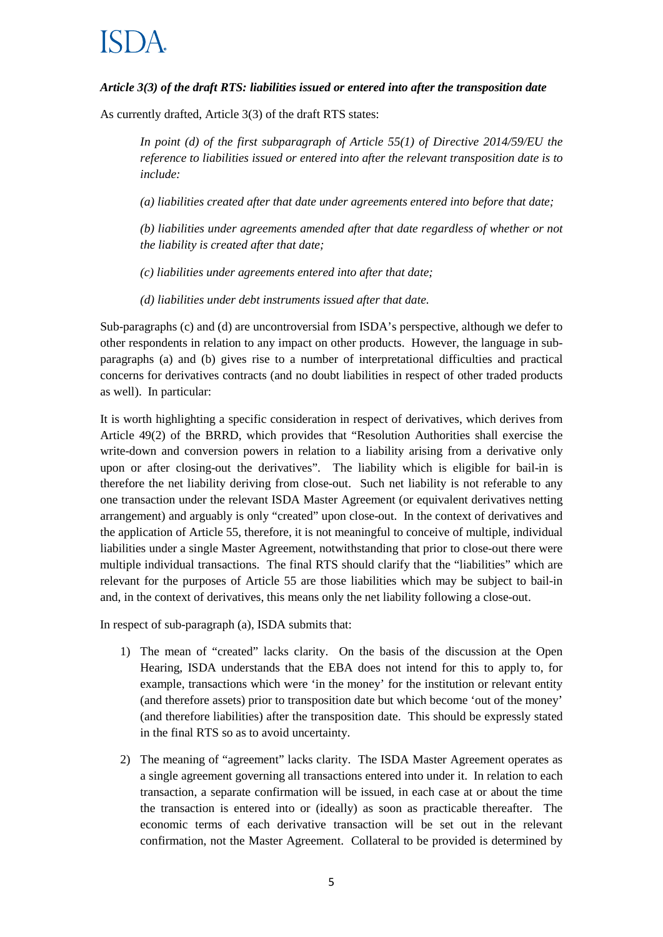### *Article 3(3) of the draft RTS: liabilities issued or entered into after the transposition date*

As currently drafted, Article 3(3) of the draft RTS states:

*In point (d) of the first subparagraph of Article 55(1) of Directive 2014/59/EU the reference to liabilities issued or entered into after the relevant transposition date is to include:*

*(a) liabilities created after that date under agreements entered into before that date;*

*(b) liabilities under agreements amended after that date regardless of whether or not the liability is created after that date;*

*(c) liabilities under agreements entered into after that date;*

*(d) liabilities under debt instruments issued after that date.*

Sub-paragraphs (c) and (d) are uncontroversial from ISDA's perspective, although we defer to other respondents in relation to any impact on other products. However, the language in subparagraphs (a) and (b) gives rise to a number of interpretational difficulties and practical concerns for derivatives contracts (and no doubt liabilities in respect of other traded products as well). In particular:

It is worth highlighting a specific consideration in respect of derivatives, which derives from Article 49(2) of the BRRD, which provides that "Resolution Authorities shall exercise the write-down and conversion powers in relation to a liability arising from a derivative only upon or after closing-out the derivatives". The liability which is eligible for bail-in is therefore the net liability deriving from close-out. Such net liability is not referable to any one transaction under the relevant ISDA Master Agreement (or equivalent derivatives netting arrangement) and arguably is only "created" upon close-out. In the context of derivatives and the application of Article 55, therefore, it is not meaningful to conceive of multiple, individual liabilities under a single Master Agreement, notwithstanding that prior to close-out there were multiple individual transactions. The final RTS should clarify that the "liabilities" which are relevant for the purposes of Article 55 are those liabilities which may be subject to bail-in and, in the context of derivatives, this means only the net liability following a close-out.

In respect of sub-paragraph (a), ISDA submits that:

- 1) The mean of "created" lacks clarity. On the basis of the discussion at the Open Hearing, ISDA understands that the EBA does not intend for this to apply to, for example, transactions which were 'in the money' for the institution or relevant entity (and therefore assets) prior to transposition date but which become 'out of the money' (and therefore liabilities) after the transposition date. This should be expressly stated in the final RTS so as to avoid uncertainty.
- 2) The meaning of "agreement" lacks clarity. The ISDA Master Agreement operates as a single agreement governing all transactions entered into under it. In relation to each transaction, a separate confirmation will be issued, in each case at or about the time the transaction is entered into or (ideally) as soon as practicable thereafter. The economic terms of each derivative transaction will be set out in the relevant confirmation, not the Master Agreement. Collateral to be provided is determined by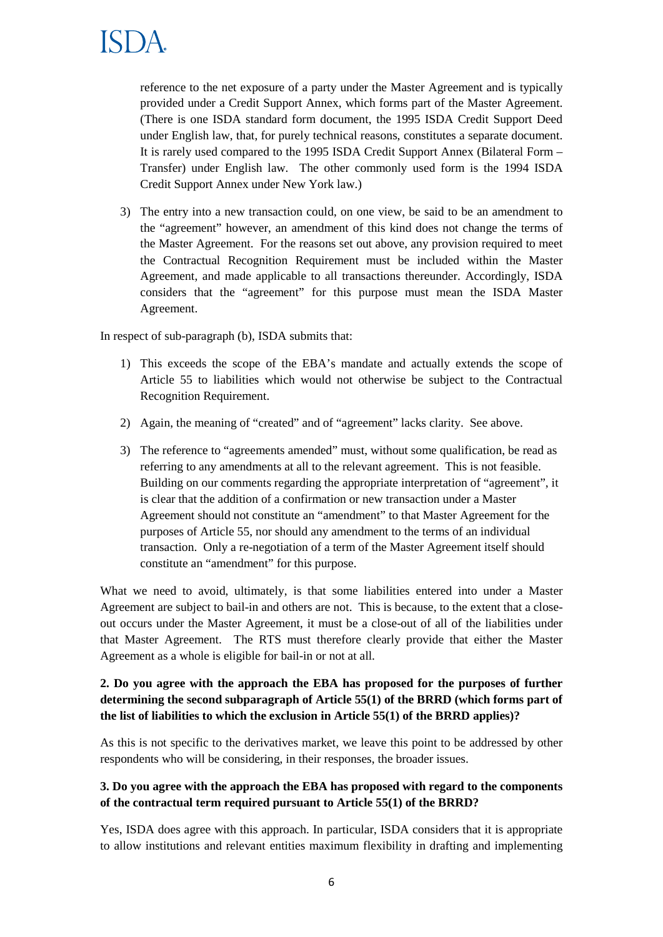reference to the net exposure of a party under the Master Agreement and is typically provided under a Credit Support Annex, which forms part of the Master Agreement. (There is one ISDA standard form document, the 1995 ISDA Credit Support Deed under English law, that, for purely technical reasons, constitutes a separate document. It is rarely used compared to the 1995 ISDA Credit Support Annex (Bilateral Form – Transfer) under English law. The other commonly used form is the 1994 ISDA Credit Support Annex under New York law.)

3) The entry into a new transaction could, on one view, be said to be an amendment to the "agreement" however, an amendment of this kind does not change the terms of the Master Agreement. For the reasons set out above, any provision required to meet the Contractual Recognition Requirement must be included within the Master Agreement, and made applicable to all transactions thereunder. Accordingly, ISDA considers that the "agreement" for this purpose must mean the ISDA Master Agreement.

In respect of sub-paragraph (b), ISDA submits that:

- 1) This exceeds the scope of the EBA's mandate and actually extends the scope of Article 55 to liabilities which would not otherwise be subject to the Contractual Recognition Requirement.
- 2) Again, the meaning of "created" and of "agreement" lacks clarity. See above.
- 3) The reference to "agreements amended" must, without some qualification, be read as referring to any amendments at all to the relevant agreement. This is not feasible. Building on our comments regarding the appropriate interpretation of "agreement", it is clear that the addition of a confirmation or new transaction under a Master Agreement should not constitute an "amendment" to that Master Agreement for the purposes of Article 55, nor should any amendment to the terms of an individual transaction. Only a re-negotiation of a term of the Master Agreement itself should constitute an "amendment" for this purpose.

What we need to avoid, ultimately, is that some liabilities entered into under a Master Agreement are subject to bail-in and others are not. This is because, to the extent that a closeout occurs under the Master Agreement, it must be a close-out of all of the liabilities under that Master Agreement. The RTS must therefore clearly provide that either the Master Agreement as a whole is eligible for bail-in or not at all.

# **2. Do you agree with the approach the EBA has proposed for the purposes of further determining the second subparagraph of Article 55(1) of the BRRD (which forms part of the list of liabilities to which the exclusion in Article 55(1) of the BRRD applies)?**

As this is not specific to the derivatives market, we leave this point to be addressed by other respondents who will be considering, in their responses, the broader issues.

# **3. Do you agree with the approach the EBA has proposed with regard to the components of the contractual term required pursuant to Article 55(1) of the BRRD?**

Yes, ISDA does agree with this approach. In particular, ISDA considers that it is appropriate to allow institutions and relevant entities maximum flexibility in drafting and implementing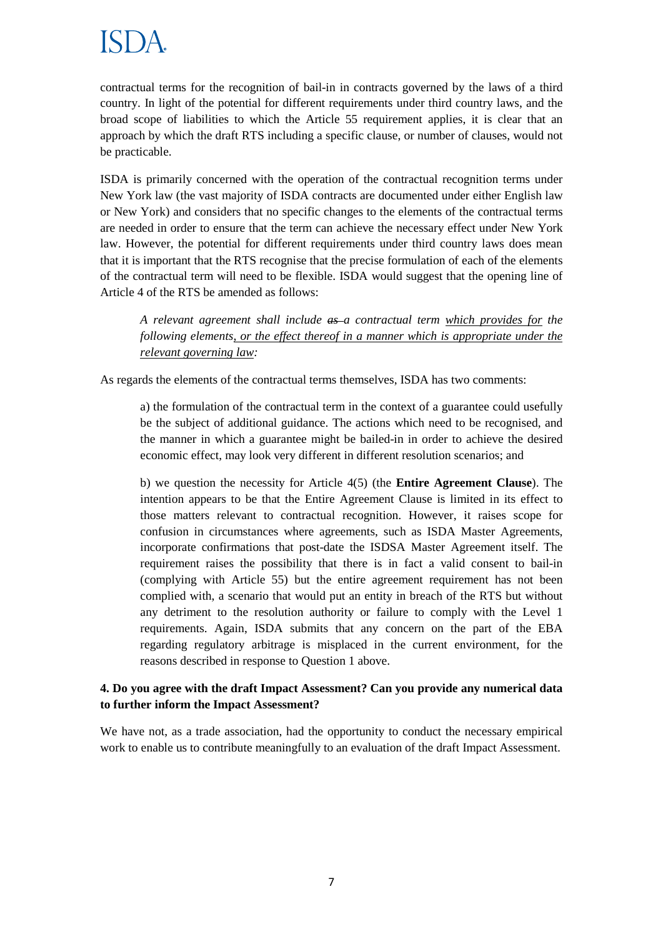contractual terms for the recognition of bail-in in contracts governed by the laws of a third country. In light of the potential for different requirements under third country laws, and the broad scope of liabilities to which the Article 55 requirement applies, it is clear that an approach by which the draft RTS including a specific clause, or number of clauses, would not be practicable.

ISDA is primarily concerned with the operation of the contractual recognition terms under New York law (the vast majority of ISDA contracts are documented under either English law or New York) and considers that no specific changes to the elements of the contractual terms are needed in order to ensure that the term can achieve the necessary effect under New York law. However, the potential for different requirements under third country laws does mean that it is important that the RTS recognise that the precise formulation of each of the elements of the contractual term will need to be flexible. ISDA would suggest that the opening line of Article 4 of the RTS be amended as follows:

*A relevant agreement shall include as a contractual term which provides for the following elements, or the effect thereof in a manner which is appropriate under the relevant governing law:*

As regards the elements of the contractual terms themselves, ISDA has two comments:

a) the formulation of the contractual term in the context of a guarantee could usefully be the subject of additional guidance. The actions which need to be recognised, and the manner in which a guarantee might be bailed-in in order to achieve the desired economic effect, may look very different in different resolution scenarios; and

b) we question the necessity for Article 4(5) (the **Entire Agreement Clause**). The intention appears to be that the Entire Agreement Clause is limited in its effect to those matters relevant to contractual recognition. However, it raises scope for confusion in circumstances where agreements, such as ISDA Master Agreements, incorporate confirmations that post-date the ISDSA Master Agreement itself. The requirement raises the possibility that there is in fact a valid consent to bail-in (complying with Article 55) but the entire agreement requirement has not been complied with, a scenario that would put an entity in breach of the RTS but without any detriment to the resolution authority or failure to comply with the Level 1 requirements. Again, ISDA submits that any concern on the part of the EBA regarding regulatory arbitrage is misplaced in the current environment, for the reasons described in response to Question 1 above.

### **4. Do you agree with the draft Impact Assessment? Can you provide any numerical data to further inform the Impact Assessment?**

We have not, as a trade association, had the opportunity to conduct the necessary empirical work to enable us to contribute meaningfully to an evaluation of the draft Impact Assessment.